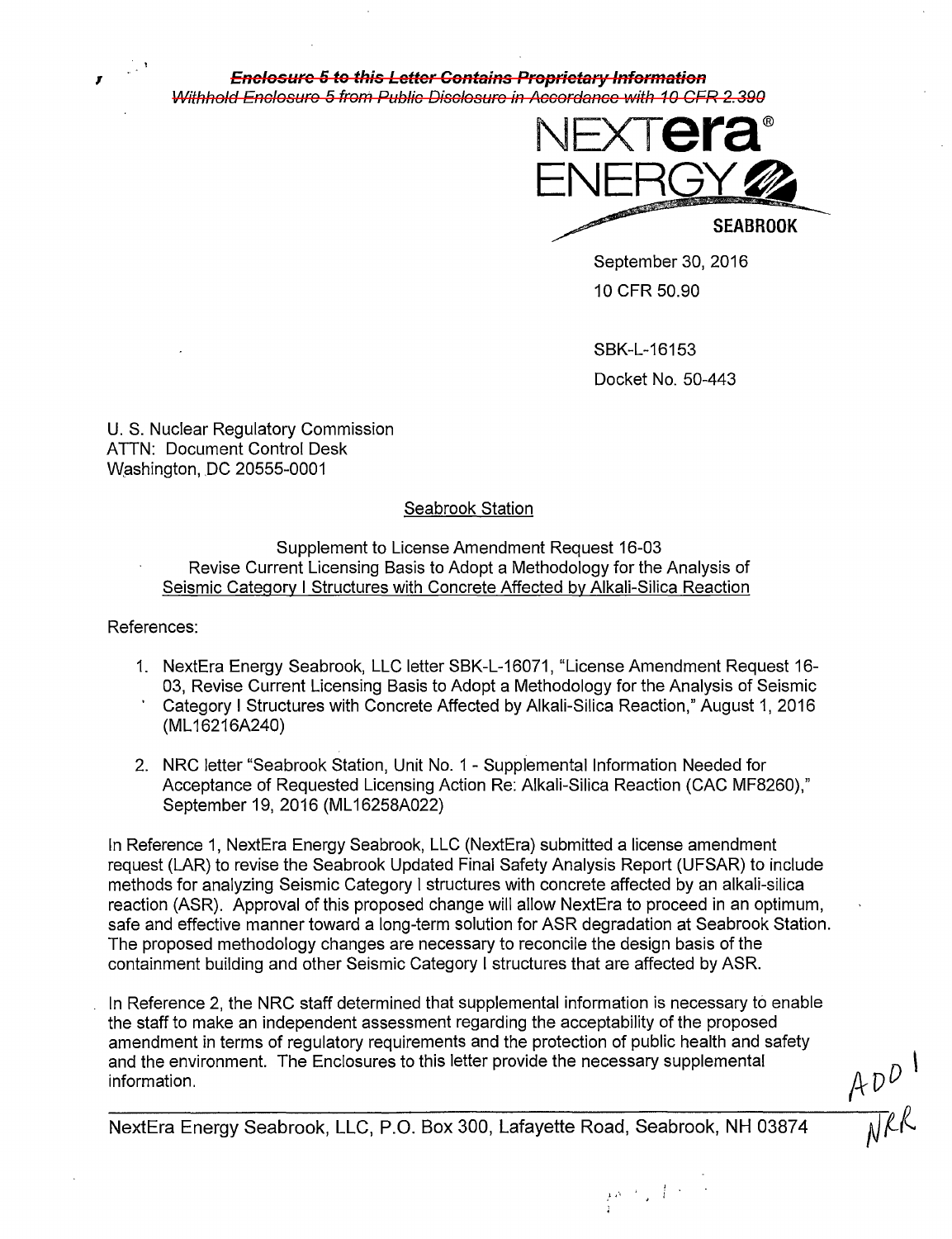

**1 Enclosure 5 to this Letter Contains Proprietary Information**  Withhold Enclosure 5 from Public Disclosure in Accordance with 10 CFR 2.390



**SEABROOK** 

September 30, 2016 10 CFR 50.90

SBK-L-16153 Docket No. 50-443

 $\frac{1}{2} \delta^{-1} \sqrt{1 + \frac{1}{2}}$ 

U. S. Nuclear Regulatory Commission ATTN: Document Control Desk Washington, DC 20555-0001

# Seabrook Station

Supplement to License Amendment Request 16-03 Revise Current Licensing Basis to Adopt a Methodology for the Analysis of Seismic Category I Structures with Concrete Affected by Alkali-Silica Reaction

References:

- 1. NextEra Energy Seabrook, LLC letter SBK-L-16071, "License Amendment Request 16- 03, Revise Current Licensing Basis to Adopt a Methodology for the Analysis of Seismic Category I Structures with Concrete Affected by Alkali-Silica Reaction," August 1, 2016 (ML 16216A240)
- 2. NRC letter "Seabrook Station, Unit No. 1 Supplemental Information Needed for Acceptance of Requested Licensing Action Re: Alkali-Silica Reaction (CAC MF8260)," September 19, 2016(ML16258A022)

In Reference 1, NextEra Energy Seabrook, LLC (NextEra) submitted a license amendment request (LAR) to revise the Seabrook Updated Final Safety Analysis Report (UFSAR) to include methods for analyzing Seismic Category I structures with concrete affected by an alkali-silica reaction (ASR). Approval of this proposed change will allow NextEra to proceed in an optimum, safe and effective manner toward a long-term solution for ASR degradation at Seabrook Station. The proposed methodology changes are necessary to reconcile the design basis of the containment building and other Seismic Category I structures that are affected by ASR.

In Reference 2, the NRC staff determined that supplemental information is necessary to enable the staff to make an independent assessment regarding the acceptability of the proposed amendment in terms of regulatory requirements and the protection of public health and safety and the environment. The Enclosures to this letter provide the necessary supplemental information.

 $AD^{D^{1}}$ 

NextEra Energy Seabrook, LLC, P.O. Box 300, Lafayette Road, Seabrook, NH 03874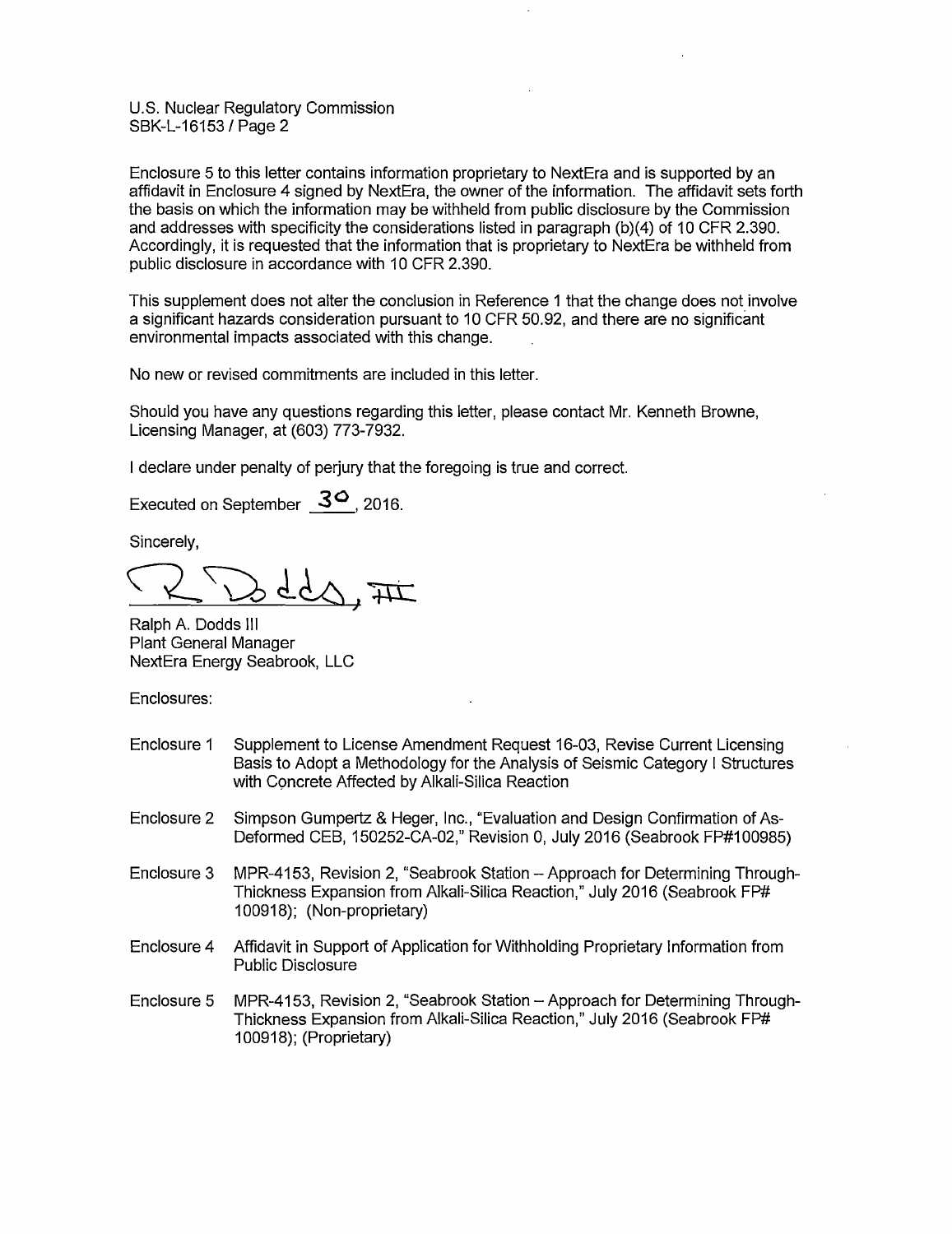U.S. Nuclear Regulatory Commission SBK-L-16153 /Page 2

Enclosure 5 to this letter contains information proprietary to NextEra and is supported by an affidavit in Enclosure 4 signed by NextEra, the owner of the information. The affidavit sets forth the basis on which the information may be withheld from public disclosure by the Commission and addresses with specificity the considerations listed in paragraph (b)(4) of 10 CFR 2.390. Accordingly, it is requested that the information that is proprietary to NextEra be withheld from public disclosure in accordance with 10 CFR 2.390.

This supplement does not alter the conclusion in Reference 1 that the change does not involve a significant hazards consideration pursuant to 10 CFR 50.92, and there are no significant environmental impacts associated with this change.

No new or revised commitments are included in this letter.

Should you have any questions regarding this letter, please contact Mr. Kenneth Browne, Licensing Manager, at (603) 773-7932.

I declare under penalty of perjury that the foregoing is true and correct.

Executed on September 3<sup>0</sup>, 2016.

Sincerely,

Ralph A. Dodds Ill Plant General Manager NextEra Energy Seabrook, LLC

Enclosures:

- Enclosure 1 Supplement to License Amendment Request 16-03, Revise Current Licensing Basis to Adopt a Methodology for the Analysis of Seismic Category I Structures with Concrete Affected by Alkali-Silica Reaction
- Enclosure 2 Simpson Gumpertz & Heger, Inc., "Evaluation and Design Confirmation of As-Deformed CEB, 150252-CA-02," Revision 0, July 2016 (Seabrook FP#100985)
- Enclosure 3 MPR-4153, Revision 2, "Seabrook Station Approach for Determining Through-Thickness Expansion from Alkali-Silica Reaction," July 2016 (Seabrook FP# 100918); (Non-proprietary)
- Enclosure 4 Affidavit in Support of Application for Withholding Proprietary Information from Public Disclosure
- Enclosure 5 MPR-4153, Revision 2, "Seabrook Station Approach for Determining Through-Thickness Expansion from Alkali-Silica Reaction," July 2016 (Seabrook FP# 100918); (Proprietary)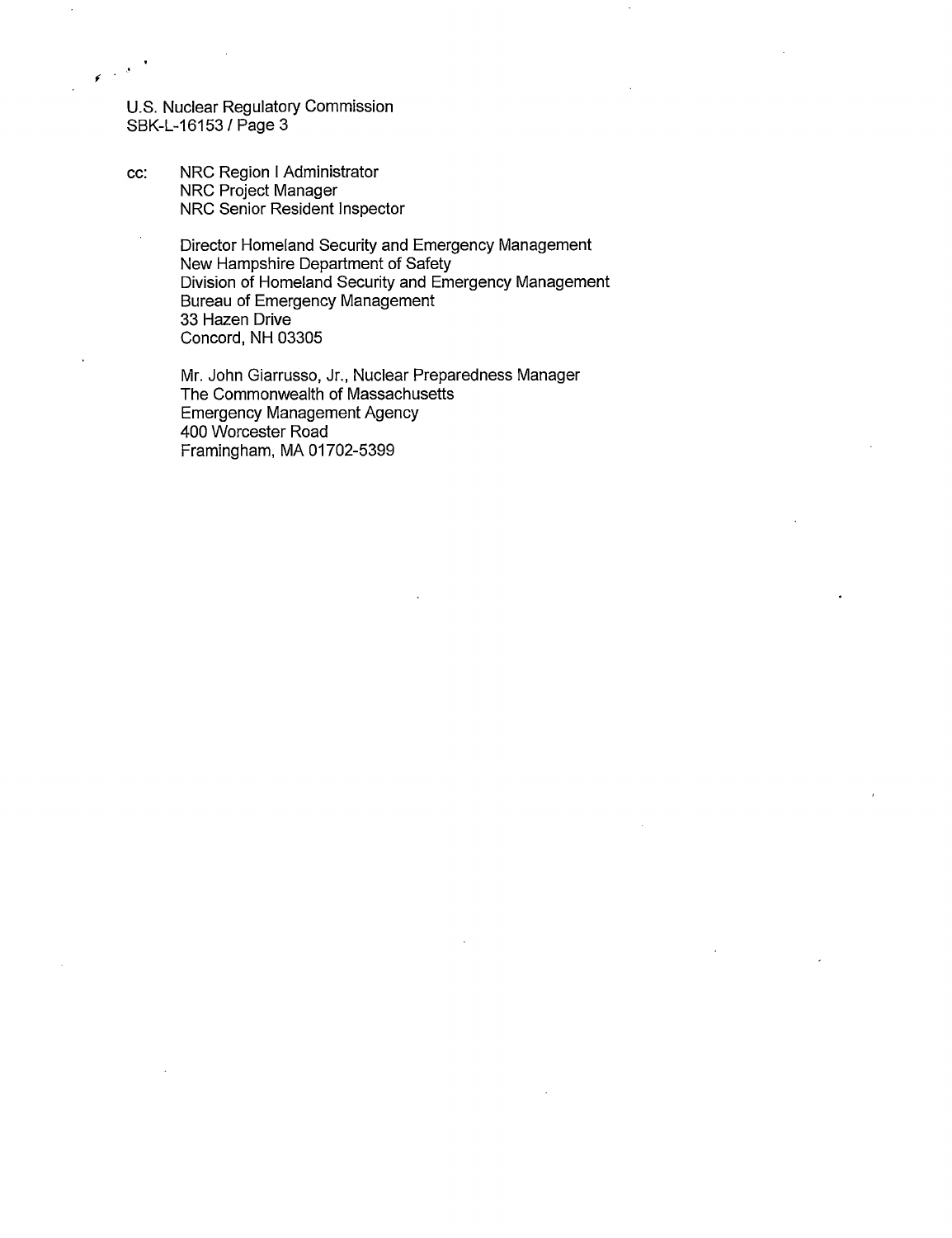U.S. Nuclear Regulatory Commission SBK-L-16153 /Page 3

 $\epsilon$ 

cc: NRC Region I Administrator NRC Project Manager NRC Senior Resident Inspector

> Director Homeland Security and Emergency Management New Hampshire Department of Safety Division of Homeland Security and Emergency Management Bureau of Emergency Management 33 Hazen Drive Concord, NH 03305

Mr. John Giarrusso, Jr., Nuclear Preparedness Manager The Commonwealth of Massachusetts Emergency Management Agency 400 Worcester Road Framingham, MA 01702-5399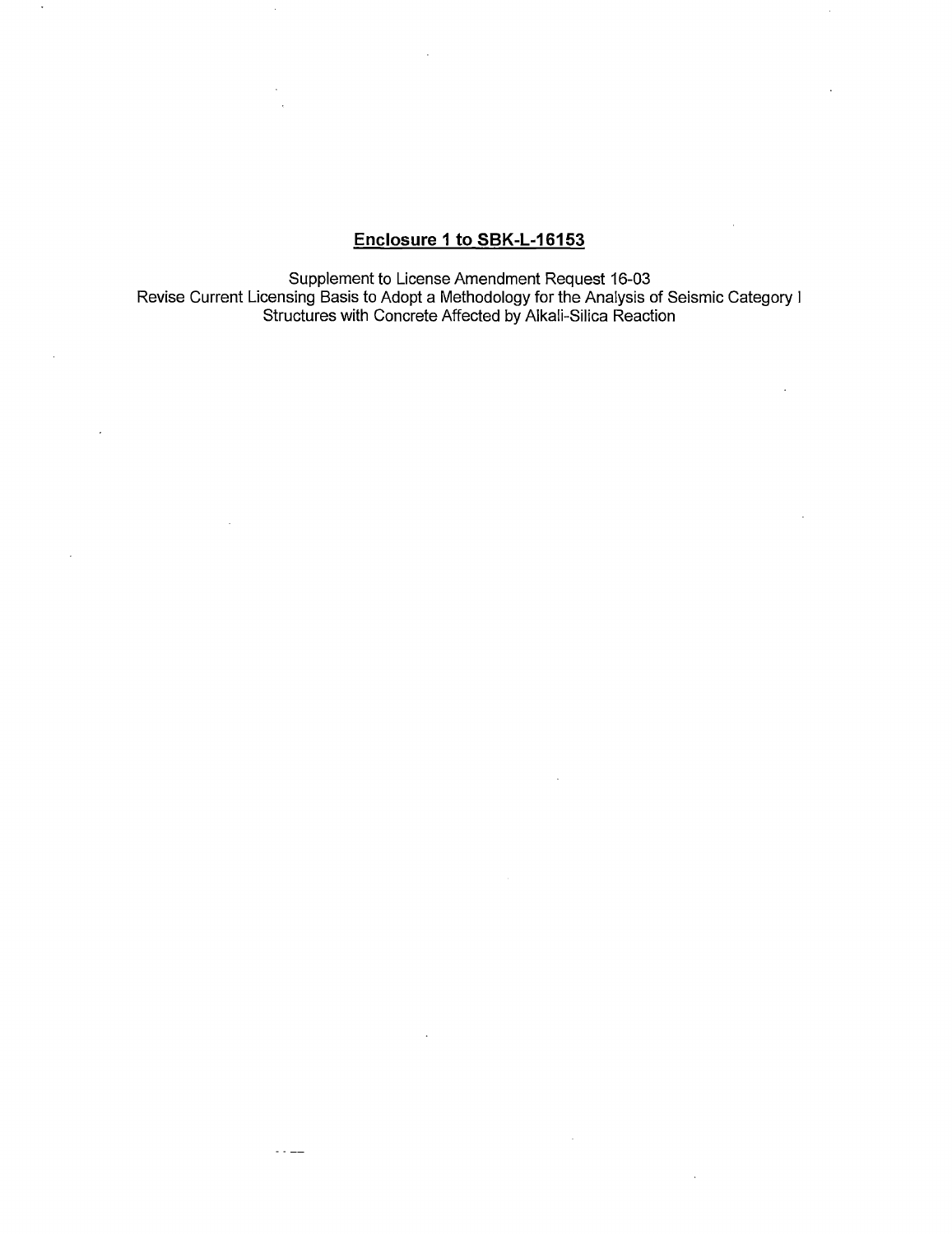# **Enclosure 1 to SBK-L-16153**

Supplement to License Amendment Request 16-03 Revise Current Licensing Basis to Adopt a Methodology for the Analysis of Seismic Category I Structures with Concrete Affected by Alkali-Silica Reaction

 $\sim 100$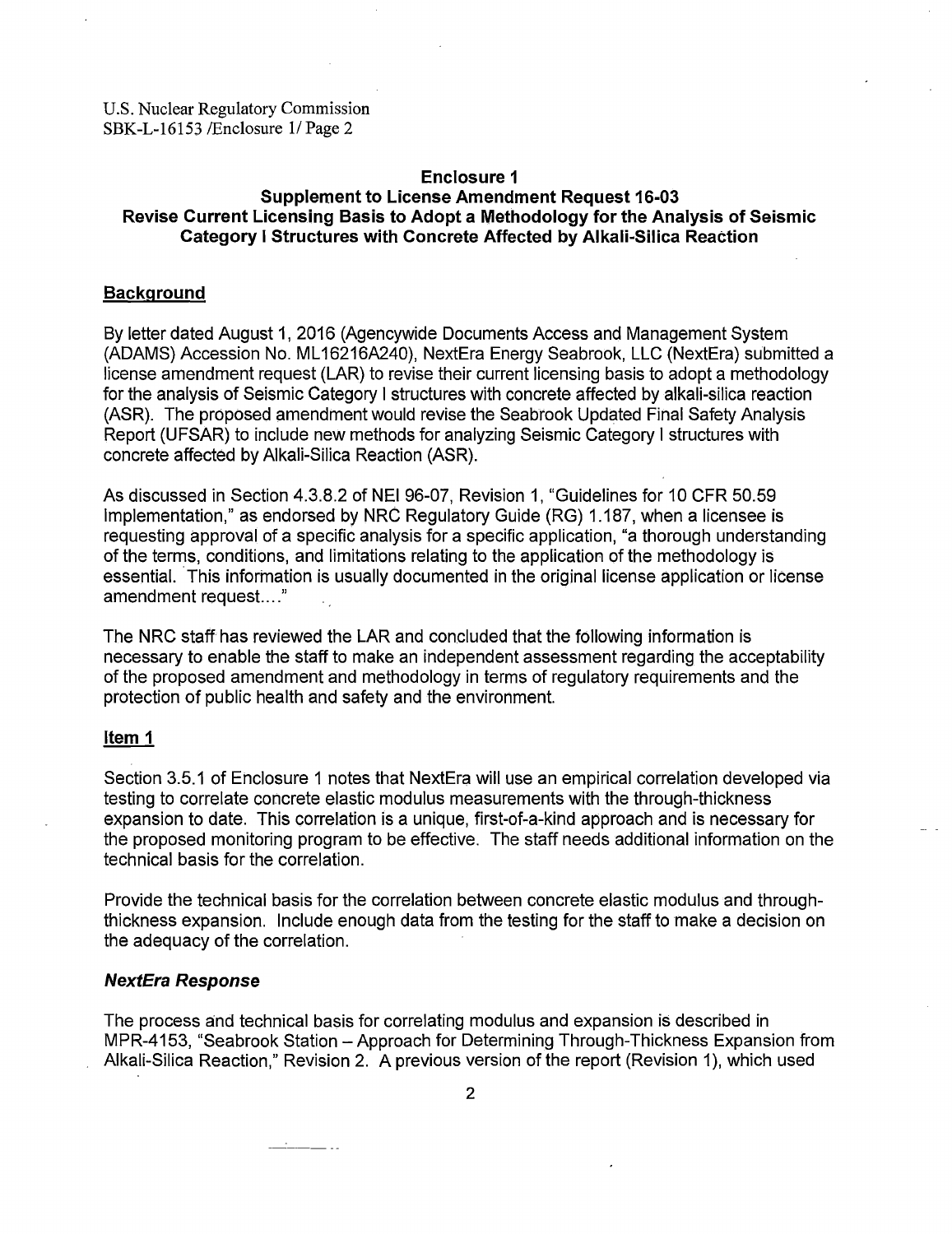#### **Enclosure 1**

# **Supplement to License Amendment Request 16-03 Revise Current Licensing Basis to Adopt a Methodology for the Analysis of Seismic Category I Structures with Concrete Affected by Alkali-Silica Reaction**

#### **Background**

By letter dated August 1, 2016 (Agencywide Documents Access and Management System (ADAMS) Accession No. ML 16216A240), NextEra Energy Seabrook, LLC (NextEra) submitted a license amendment request (LAR) to revise their current licensing basis to adopt a methodology for the analysis of Seismic Category I structures with concrete affected by alkali-silica reaction (ASR). The proposed amendment would revise the Seabrook Updated Final Safety Analysis Report (UFSAR) to include new methods for analyzing Seismic Category I structures with concrete affected by Alkali-Silica Reaction (ASR).

As discussed in Section 4.3.8.2 of NEI 96-07, Revision 1, "Guidelines for 10 CFR 50.59 Implementation," as endorsed by NRC Regulatory Guide (RG) 1.187, when a licensee is requesting approval of a specific analysis for a specific application, "a thorough understanding of the terms, conditions, and limitations relating to the application of the methodology is essential. This information is usually documented in the original license application or license amendment request...."

The NRC staff has reviewed the LAR and concluded that the following information is necessary to enable the staff to make an independent assessment regarding the acceptability of the proposed amendment and methodology in terms of regulatory requirements and the protection of public health and safety and the environment.

### **Item 1**

Section 3.5.1 of Enclosure 1 notes that NextEra will use an empirical correlation developed via testing to correlate concrete elastic modulus measurements with the through-thickness expansion to date. This correlation is a unique, first-of-a-kind approach and is necessary for the proposed monitoring program to be effective. The staff needs additional information on the technical basis for the correlation.

Provide the technical basis for the correlation between concrete elastic modulus and throughthickness expansion. Include enough data from the testing for the staff to make a decision on the adequacy of the correlation.

## **NextEra Response**

The process and technical basis for correlating modulus and expansion is described in MPR-4153, "Seabrook Station - Approach for Determining Through-Thickness Expansion from Alkali-Silica Reaction," Revision 2. A previous version of the report (Revision 1), which used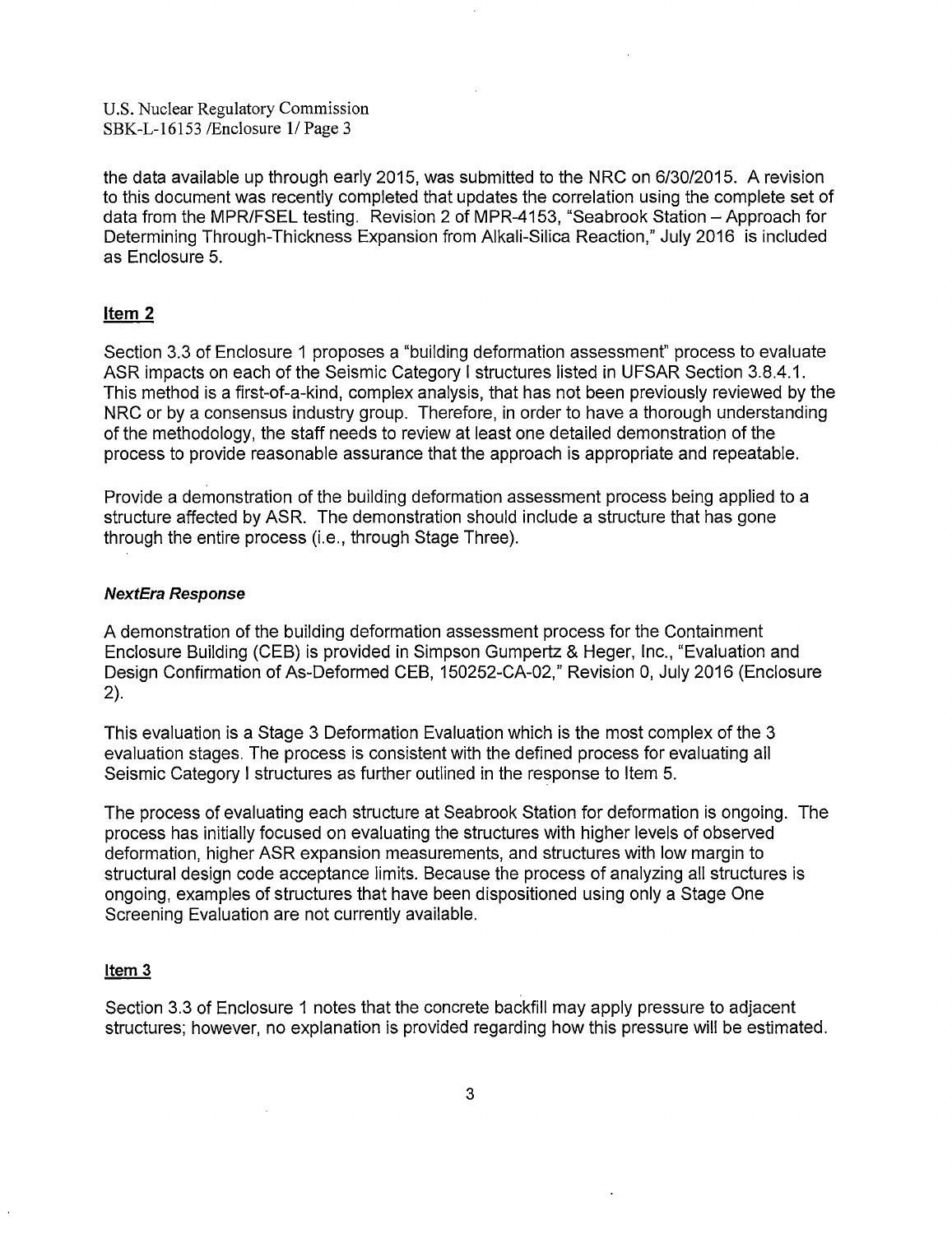the data available up through early 2015, was submitted to the NRC on 6/30/2015. A revision to this document was recently completed that updates the correlation using the complete set of data from the MPR/FSEL testing. Revision 2 of MPR-4153, "Seabrook Station - Approach for Determining Through-Thickness Expansion from Alkali-Silica Reaction," July 2016 is included as Enclosure 5.

## **Item 2**

Section 3.3 of Enclosure 1 proposes a "building deformation assessment" process to evaluate ASR impacts on each of the Seismic Category I structures listed in UFSAR Section 3.8.4.1. This method is a first-of-a-kind, complex analysis, that has not been previously reviewed by the NRC or by a consensus industry group. Therefore, in order to have a thorough understanding of the methodology, the staff needs to review at least one detailed demonstration of the process to provide reasonable assurance that the approach is appropriate and repeatable.

Provide a demonstration of the building deformation assessment process being applied to a structure affected by ASR. The demonstration should include a structure that has gone through the entire process (i.e., through Stage Three).

### **NextEra Response**

A demonstration of the building deformation assessment process for the Containment Enclosure Building (CEB) is provided in Simpson Gumpertz & Heger, Inc., "Evaluation and Design Confirmation of As-Deformed CEB, 150252-CA-02," Revision 0, July 2016 (Enclosure 2).

This evaluation is a Stage 3 Deformation Evaluation which is the most complex of the 3 evaluation stages. The process is consistent with the defined process for evaluating all Seismic Category I structures as further outlined in the response to Item 5.

The process of evaluating each structure at Seabrook Station for deformation is ongoing. The process has initially focused on evaluating the structures with higher levels of observed deformation, higher ASR expansion measurements, and structures with low margin to structural design code acceptance limits. Because the process of analyzing all structures is ongoing, examples of structures that have been dispositioned using only a Stage One Screening Evaluation are not currently available.

#### Item<sub>3</sub>

Section 3.3 of Enclosure 1 notes that the concrete backfill may apply pressure to adjacent structures; however, no explanation is provided regarding how this pressure will be estimated.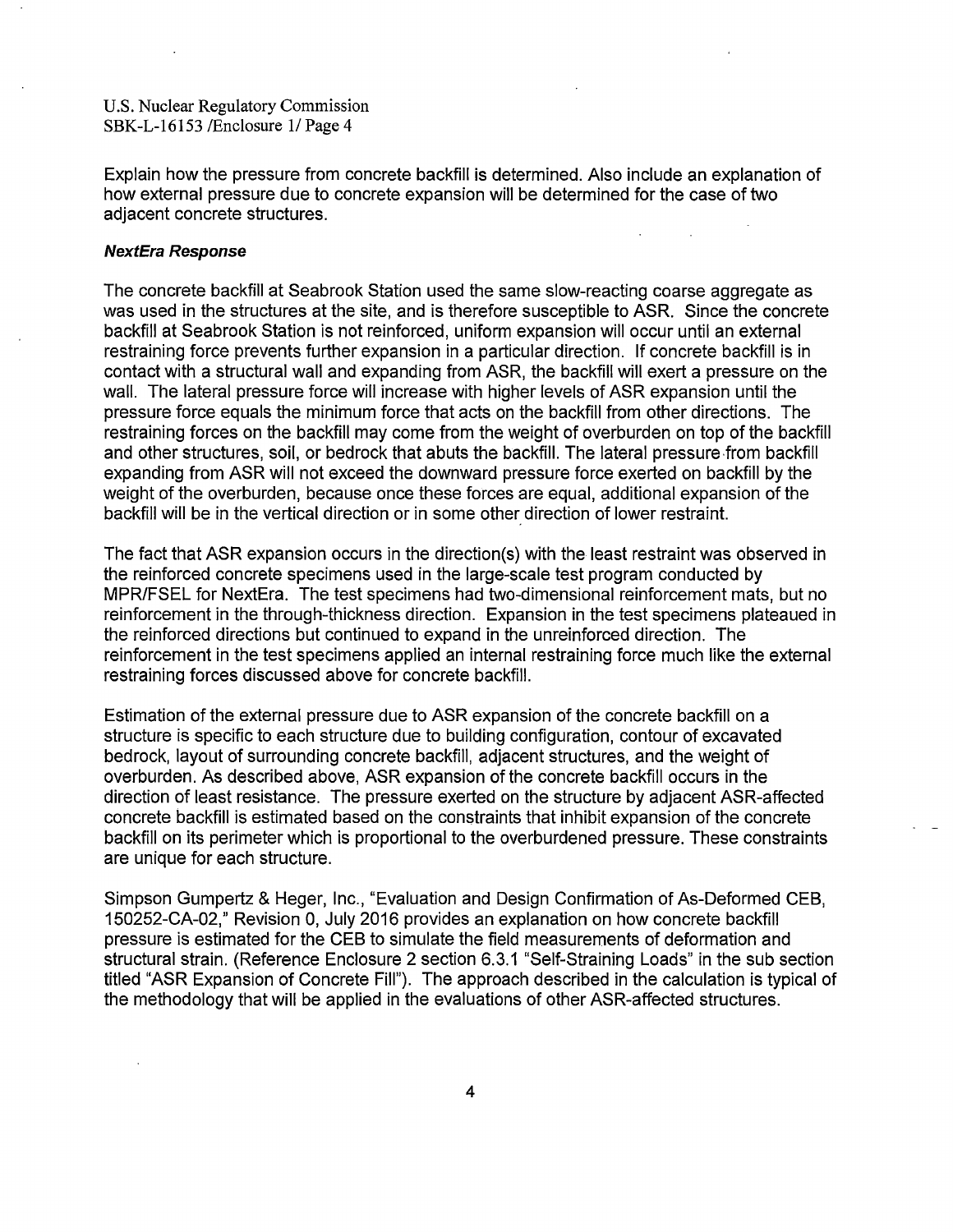Explain how the pressure from concrete backfill is determined. Also include an explanation of how external pressure due to concrete expansion will be determined for the case of two adjacent concrete structures.

#### **NextEra Response**

The concrete backfill at Seabrook Station used the same slow-reacting coarse aggregate as was used in the structures at the site, and is therefore susceptible to ASR. Since the concrete backfill at Seabrook Station is not reinforced, uniform expansion will occur until an external restraining force prevents further expansion in a particular direction. If concrete backfill is in contact with a structural wall and expanding from ASR, the backfill will exert a pressure on the wall. The lateral pressure force will increase with higher levels of ASR expansion until the pressure force equals the minimum force that acts on the backfill from other directions. The restraining forces on the backfill may come from the weight of overburden on top of the backfill and other structures, soil, or bedrock that abuts the backfill. The lateral pressure from backfill expanding from ASR will not exceed the downward pressure force exerted on backfill by the weight of the overburden, because once these forces are equal, additional expansion of the backfill will be in the vertical direction or in some other direction of lower restraint.

The fact that ASR expansion occurs in the direction(s) with the least restraint was observed in the reinforced concrete specimens used in the large-scale test program conducted by MPR/FSEL for NextEra. The test specimens had two-dimensional reinforcement mats, but no reinforcement in the through-thickness direction. Expansion in the test specimens plateaued in the reinforced directions but continued to expand in the unreinforced direction. The reinforcement in the test specimens applied an internal restraining force much like the external restraining forces discussed above for concrete backfill.

Estimation of the external pressure due to ASR expansion of the concrete backfill on a structure is specific to each structure due to building configuration, contour of excavated bedrock, layout of surrounding concrete backfill, adjacent structures, and the weight of overburden. As described above, ASR expansion of the concrete backfill occurs in the direction of least resistance. The pressure exerted on the structure by adjacent ASR-affected concrete backfill is estimated based on the constraints that inhibit expansion of the concrete backfill on its perimeter which is proportional to the overburdened pressure. These constraints are unique for each structure.

Simpson Gumpertz & Heger, Inc., "Evaluation and Design Confirmation of As-Deformed CEB, 150252-CA-02," Revision 0, July 2016 provides an explanation on how concrete backfill pressure is estimated for the CEB to simulate the field measurements of deformation and structural strain. (Reference Enclosure 2 section 6.3.1 "Self-Straining Loads" in the sub section titled "ASR Expansion of Concrete Fill"). The approach described in the calculation is typical of the methodology that will be applied in the evaluations of other ASR-affected structures.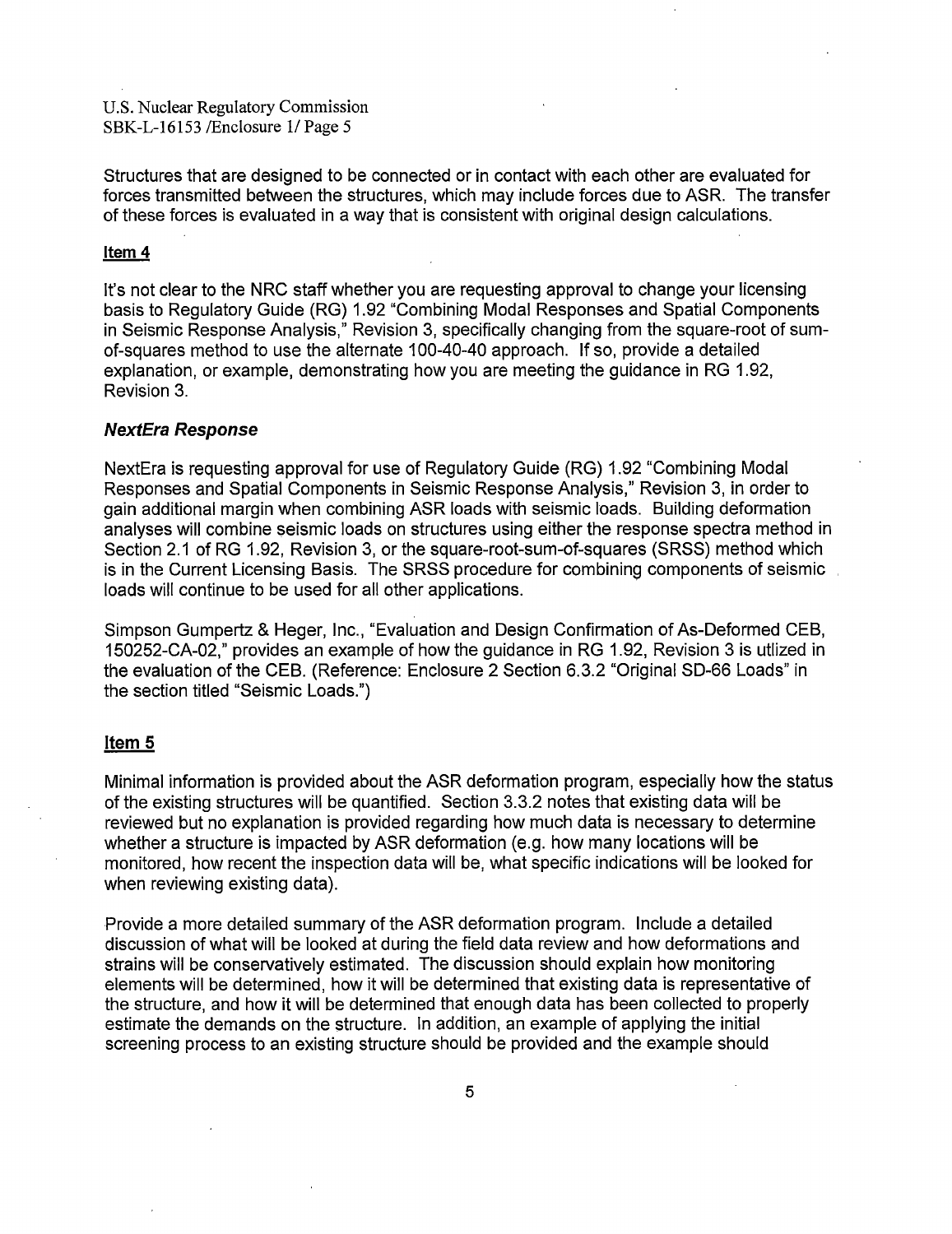Structures that are designed to be connected or in contact with each other are evaluated for forces transmitted between the structures, which may include forces due to ASR. The transfer of these forces is evaluated in a way that is consistent with original design calculations.

#### Item 4

It's not clear to the NRC staff whether you are requesting approval to change your licensing basis to Regulatory Guide (RG) 1.92 "Combining Modal Responses and Spatial Components in Seismic Response Analysis," Revision 3, specifically changing from the square-root of sumof-squares method to use the alternate 100-40-40 approach. If so, provide a detailed explanation, or example, demonstrating how you are meeting the guidance in RG 1.92, Revision 3.

## **NextEra Response**

NextEra is requesting approval for use of Regulatory Guide (RG) 1.92 "Combining Modal Responses and Spatial Components in Seismic Response Analysis," Revision 3, in order to gain additional margin when combining ASR loads with seismic loads. Building deformation analyses will combine seismic loads on structures using either the response spectra method in Section 2.1 of RG 1.92, Revision 3, or the square-root-sum-of-squares (SRSS) method which is in the Current Licensing Basis. The SRSS procedure for combining components of seismic loads will continue to be used for all other applications.

Simpson Gumpertz & Heger, Inc., "Evaluation and Design Confirmation of As-Deformed CEB, 150252-CA-02," provides an example of how the guidance in RG 1.92, Revision 3 is utlized in the evaluation of the CEB. (Reference: Enclosure 2 Section 6.3.2 "Original SD-66 Loads" in the section titled "Seismic Loads.")

#### **Item 5**

Minimal information is provided about the ASR deformation program, especially how the status of the existing structures will be quantified. Section 3.3.2 notes that existing data will be reviewed but no explanation is provided regarding how much data is necessary to determine whether a structure is impacted by ASR deformation (e.g. how many locations will be monitored, how recent the inspection data will be, what specific indications will be looked for when reviewing existing data).

Provide a more detailed summary of the ASR deformation program. Include a detailed discussion of what will be looked at during the field data review and how deformations and strains will be conservatively estimated. The discussion should explain how monitoring elements will be determined, how it will be determined that existing data is representative of the structure, and how it will be determined that enough data has been collected to properly estimate the demands on the structure. In addition, an example of applying the initial screening process to an existing structure should be provided and the example should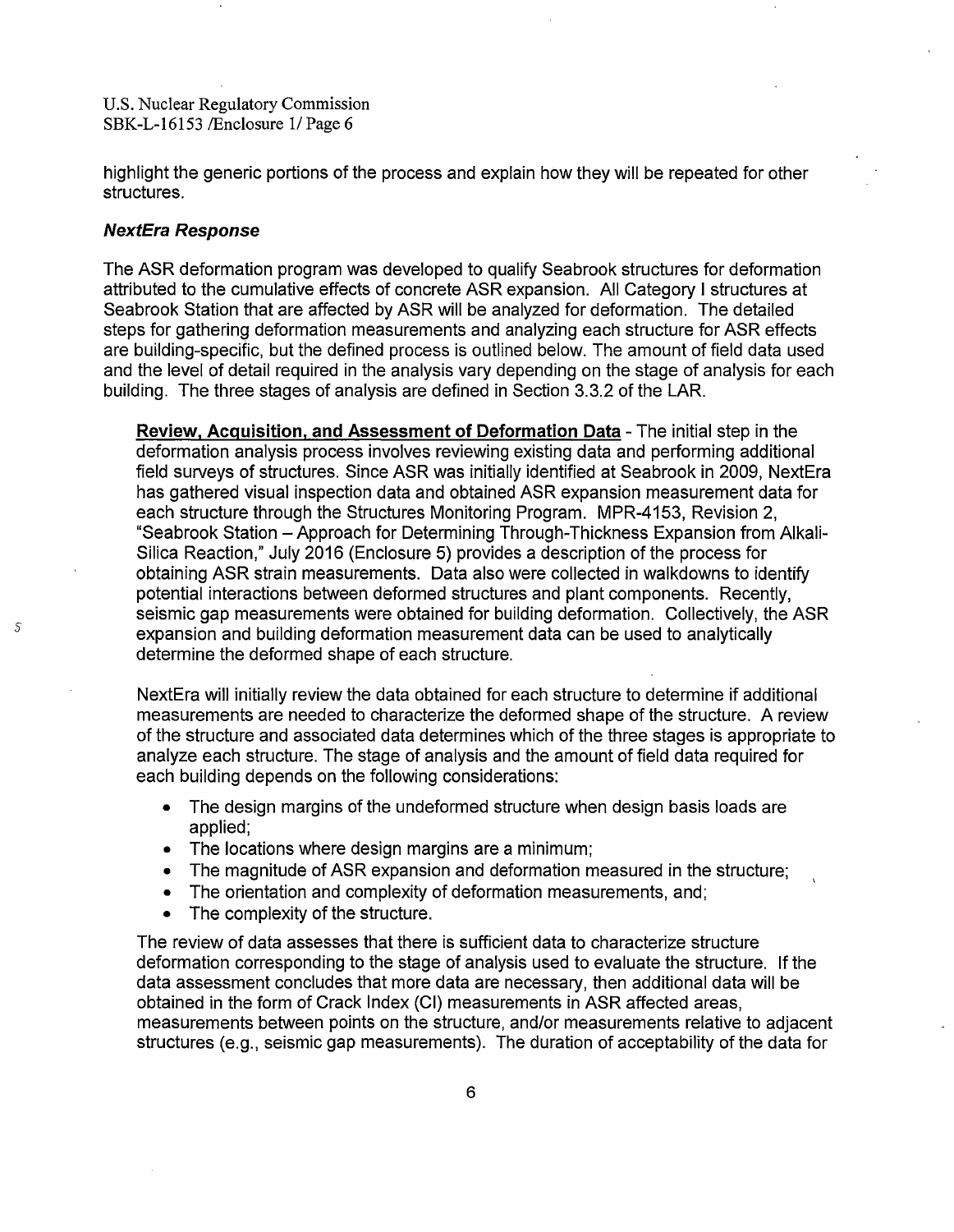highlight the generic portions of the process and explain how they will be repeated for other structures.

#### **NextEra Response**

5

The ASR deformation program was developed to qualify Seabrook structures for deformation attributed to the cumulative effects of concrete ASR expansion. All Category I structures at Seabrook Station that are affected by ASR will be analyzed for deformation. The detailed steps for gathering deformation measurements and analyzing each structure for ASR effects are building-specific, but the defined process is outlined below. The amount of field data used and the level of detail required in the analysis vary depending on the stage of analysis for each building. The three stages of analysis are defined in Section 3.3.2 of the LAR.

**Review, Acquisition, and Assessment of Deformation Data** - The initial step in the deformation analysis process involves reviewing existing data and performing additional field surveys of structures. Since ASR was initially identified at Seabrook in 2009, NextEra has gathered visual inspection data and obtained ASR expansion measurement data for each structure through the Structures Monitoring Program. MPR-4153, Revision 2, "Seabrook Station -Approach for Determining Through-Thickness Expansion from Alkali-Silica Reaction," July 2016 (Enclosure 5) provides a description of the process for obtaining ASR strain measurements. Data also were collected in walkdowns to identify potential interactions between deformed structures and plant components. Recently, seismic gap measurements were obtained for building deformation. Collectively, the ASR expansion and building deformation measurement data can be used to analytically determine the deformed shape of each structure.

NextEra will initially review the data obtained for each structure to determine if additional measurements are needed to characterize the deformed shape of the structure. A review of the structure and associated data determines which of the three stages is appropriate to analyze each structure. The stage of analysis and the amount of field data required for each building depends on the following considerations:

- The design margins of the undeformed structure when design basis loads are applied;
- The locations where design margins are a minimum;
- The magnitude of ASR expansion and deformation measured in the structure;
- The orientation and complexity of deformation measurements, and:
- The complexity of the structure.

The review of data assesses that there is sufficient data to characterize structure deformation corresponding to the stage of analysis used to evaluate the structure. If the data assessment concludes that more data are necessary, then additional data will be obtained in the form of Crack Index (Cl) measurements in ASR affected areas, measurements between points on the structure, and/or measurements relative to adjacent structures (e.g., seismic gap measurements). The duration of acceptability of the data for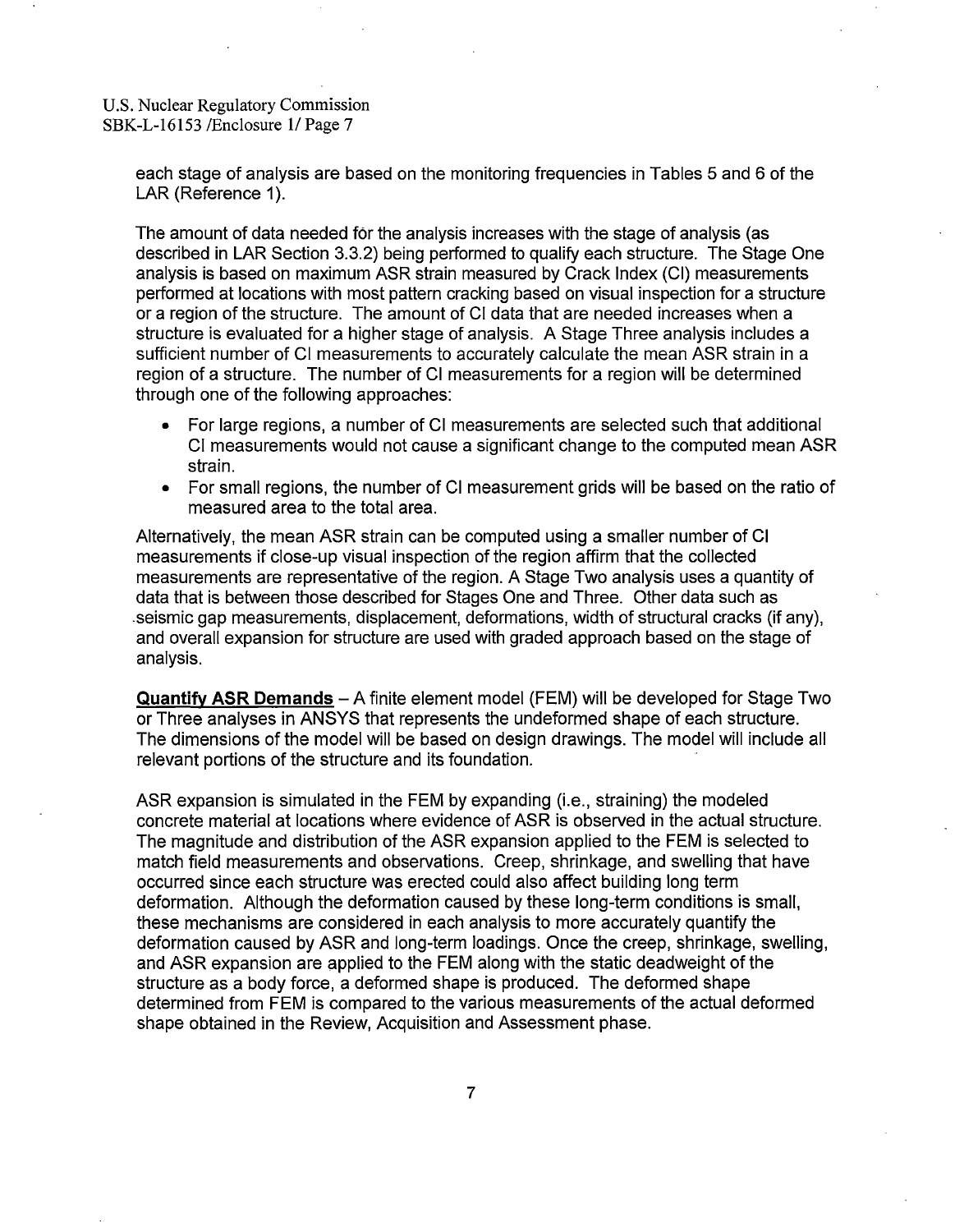each stage of analysis are based on the monitoring frequencies in Tables 5 and 6 of the LAR (Reference 1).

The amount of data needed for the analysis increases with the stage of analysis (as described in LAR Section 3.3.2) being performed to qualify each structure. The Stage One analysis is based on maximum ASR strain measured by Crack Index (Cl) measurements performed at locations with most pattern cracking based on visual inspection for a structure or a region of the structure. The amount of Cl data that are needed increases when a structure is evaluated for a higher stage of analysis. A Stage Three analysis includes a sufficient number of Cl measurements to accurately calculate the mean ASR strain in a region of a structure. The number of Cl measurements for a region will be determined through one of the following approaches:

- For large regions, a number of Cl measurements are selected such that additional Cl measurements would not cause a significant change to the computed mean ASR strain.
- For small regions, the number of Cl measurement grids will be based on the ratio of measured area to the total area.

Alternatively, the mean ASR strain can be computed using a smaller number of Cl measurements if close-up visual inspection of the region affirm that the collected measurements are representative of the region. A Stage Two analysis uses a quantity of data that is between those described for Stages One and Three. Other data such as .seismic gap measurements, displacement, deformations, width of structural cracks (if any), and overall expansion for structure are used with graded approach based on the stage of analysis.

**Quantify ASR Demands** - A finite element model (FEM) will be developed for Stage Two or Three analyses in ANSYS that represents the undeformed shape of each structure. The dimensions of the model will be based on design drawings. The model will include all relevant portions of the structure and its foundation.

ASR expansion is simulated in the FEM by expanding (i.e., straining) the modeled concrete material at locations where evidence of ASR is observed in the actual structure. The magnitude and distribution of the ASR expansion applied to the FEM is selected to match field measurements and observations. Creep, shrinkage, and swelling that have occurred since each structure was erected could also affect building long term deformation. Although the deformation caused by these long-term conditions is small, these mechanisms are considered in each analysis to more accurately quantify the deformation caused by ASR and long-term loadings. Once the creep, shrinkage, swelling, and ASR expansion are applied to the FEM along with the static deadweight of the structure as a body force, a deformed shape is produced. The deformed shape determined from FEM is compared to the various measurements of the actual deformed shape obtained in the Review, Acquisition and Assessment phase.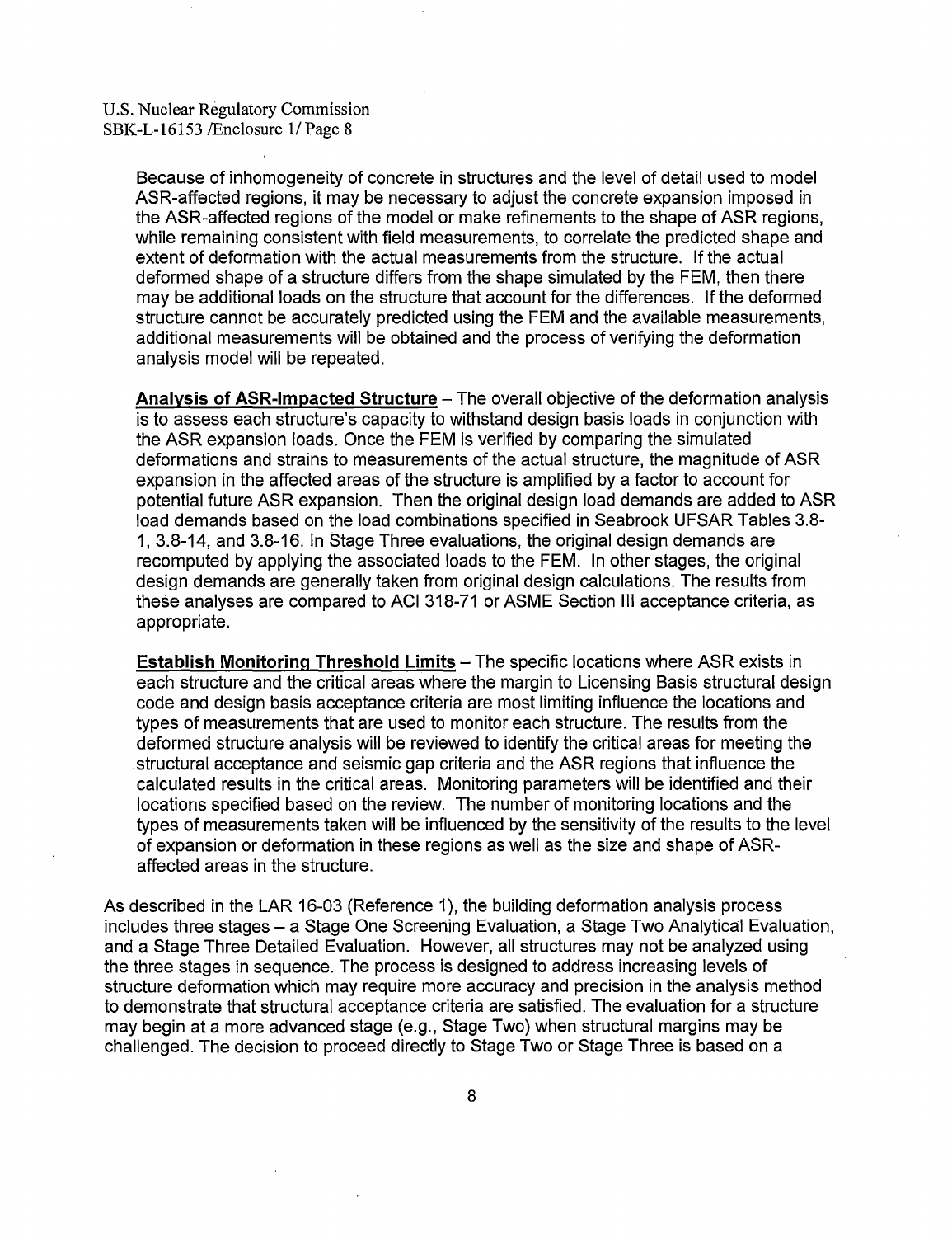Because of inhomogeneity of concrete in structures and the level of detail used to model ASR-affected regions, it may be necessary to adjust the concrete expansion imposed in the ASR-affected regions of the model or make refinements to the shape of ASR regions, while remaining consistent with field measurements, to correlate the predicted shape and extent of deformation with the actual measurements from the structure. If the actual deformed shape of a structure differs from the shape simulated by the FEM, then there may be additional loads on the structure that account for the differences. If the deformed structure cannot be accurately predicted using the FEM and the available measurements, additional measurements will be obtained and the process of verifying the deformation analysis model will be repeated.

Analysis of ASR-Impacted Structure - The overall objective of the deformation analysis is to assess each structure's capacity to withstand design basis loads in conjunction with the ASR expansion loads. Once the FEM is verified by comparing the simulated deformations and strains to measurements of the actual structure, the magnitude of ASR expansion in the affected areas of the structure is amplified by a factor to account for potential future ASR expansion. Then the original design load demands are added to ASR load demands based on the load combinations specified in Seabrook UFSAR Tables 3.8- 1, 3.8-14, and 3.8-16. In Stage Three evaluations, the original design demands are recomputed by applying the associated loads to the FEM. In other stages, the original design demands are generally taken from original design calculations. The results from these analyses are compared to ACI 318-71 or ASME Section Ill acceptance criteria, as appropriate.

**Establish Monitoring Threshold Limits - The specific locations where ASR exists in** each structure and the critical areas where the margin to Licensing Basis structural design code and design basis acceptance criteria are most limiting influence the locations and types of measurements that are used to monitor each structure. The results from the deformed structure analysis will be reviewed to identify the critical areas for meeting the .structural acceptance and seismic gap criteria and the ASR regions that influence the calculated results in the critical areas. Monitoring parameters will be identified and their locations specified based on the review. The number of monitoring locations and the types of measurements taken will be influenced by the sensitivity of the results to the level of expansion or deformation in these regions as well as the size and shape of ASRaffected areas in the structure.

As described in the LAR 16-03 (Reference 1 ), the building deformation analysis process includes three stages - a Stage One Screening Evaluation, a Stage Two Analytical Evaluation, and a Stage Three Detailed Evaluation. However, all structures may not be analyzed using the three stages in sequence. The process is designed to address increasing levels of structure deformation which may require more accuracy and precision in the analysis method to demonstrate that structural acceptance criteria are satisfied. The evaluation for a structure may begin at a more advanced stage (e.g., Stage Two) when structural margins may be challenged. The decision to proceed directly to Stage Two or Stage Three is based on a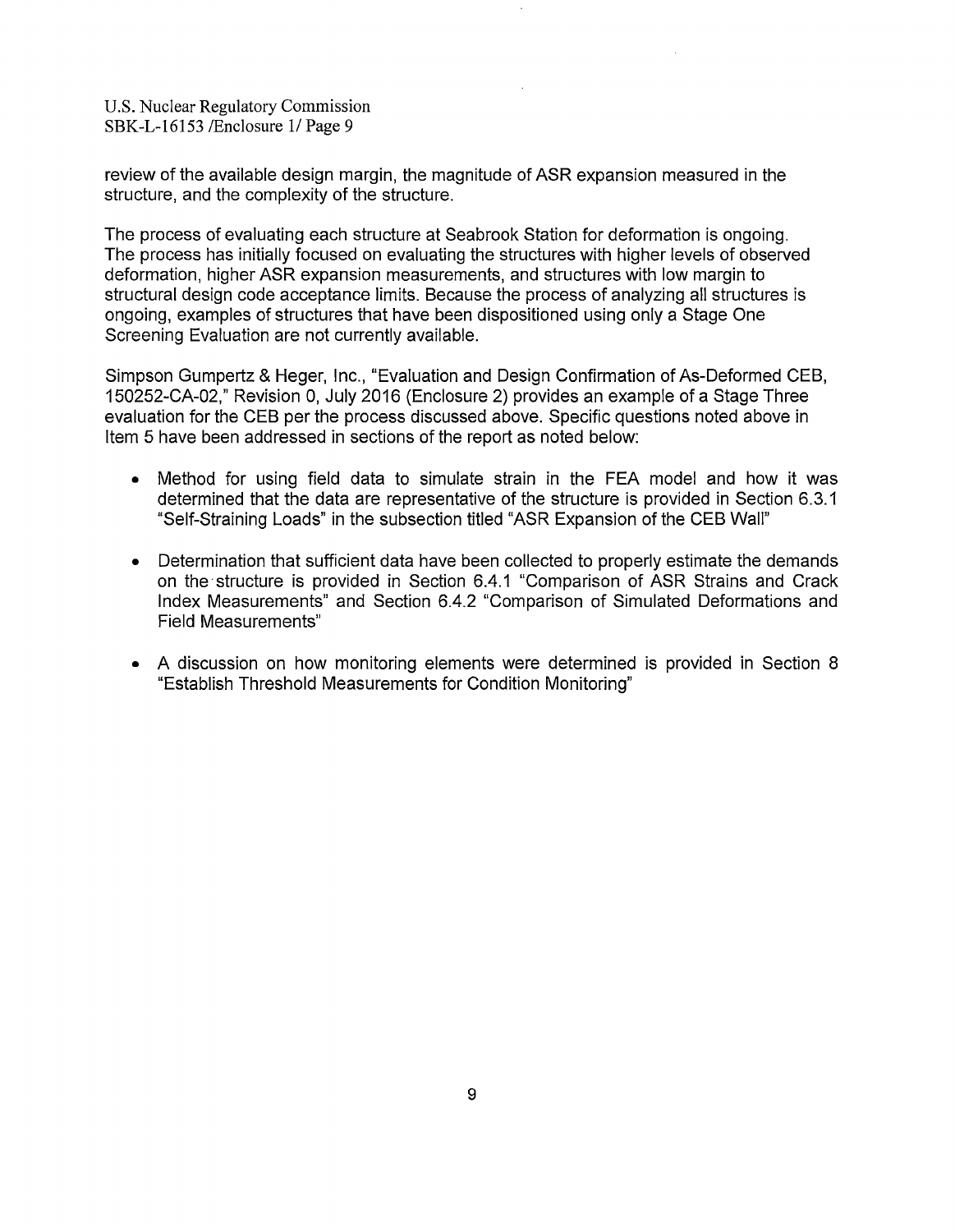review of the available design margin, the magnitude of ASR expansion measured in the structure, and the complexity of the structure.

The process of evaluating each structure at Seabrook Station for deformation is ongoing. The process has initially focused on evaluating the structures with higher levels of observed deformation, higher ASR expansion measurements, and structures with low margin to structural design code acceptance limits. Because the process of analyzing all structures is ongoing, examples of structures that have been dispositioned using only a Stage One Screening Evaluation are not currently available.

Simpson Gumpertz & Heger, Inc., "Evaluation and Design Confirmation of As-Deformed CEB, 150252-CA-02," Revision 0, July 2016 (Enclosure 2) provides an example of a Stage Three evaluation for the CEB per the process discussed above. Specific questions noted above in Item 5 have been addressed in sections of the report as noted below:

- Method for using field data to simulate strain in the FEA model and how it was determined that the data are representative of the structure is provided in Section 6.3.1 "Self-Straining Loads" in the subsection titled "ASR Expansion of the CEB Wall"
- Determination that sufficient data have been collected to properly estimate the demands on the· structure is provided in Section 6.4.1 "Comparison of ASR Strains and Crack Index Measurements" and Section 6.4.2 "Comparison of Simulated Deformations and Field Measurements"
- A discussion on how monitoring elements were determined is provided in Section 8 "Establish Threshold Measurements for Condition Monitoring"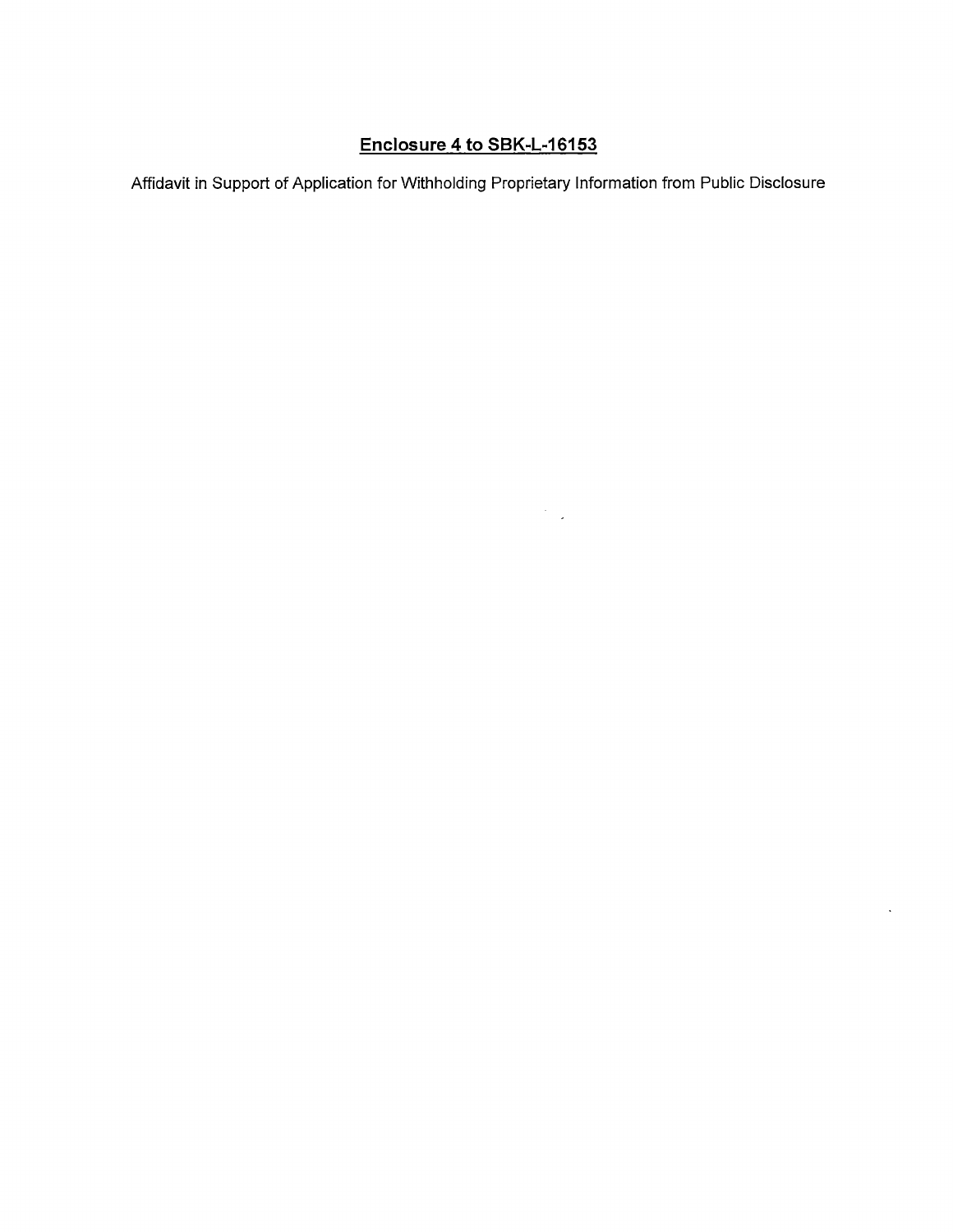# **Enclosure 4 to SBK-L-16153**

Affidavit in Support of Application for Withholding Proprietary Information from Public Disclosure

 $\mathcal{F}_{\text{max}}$  .

 $\ddot{\phantom{a}}$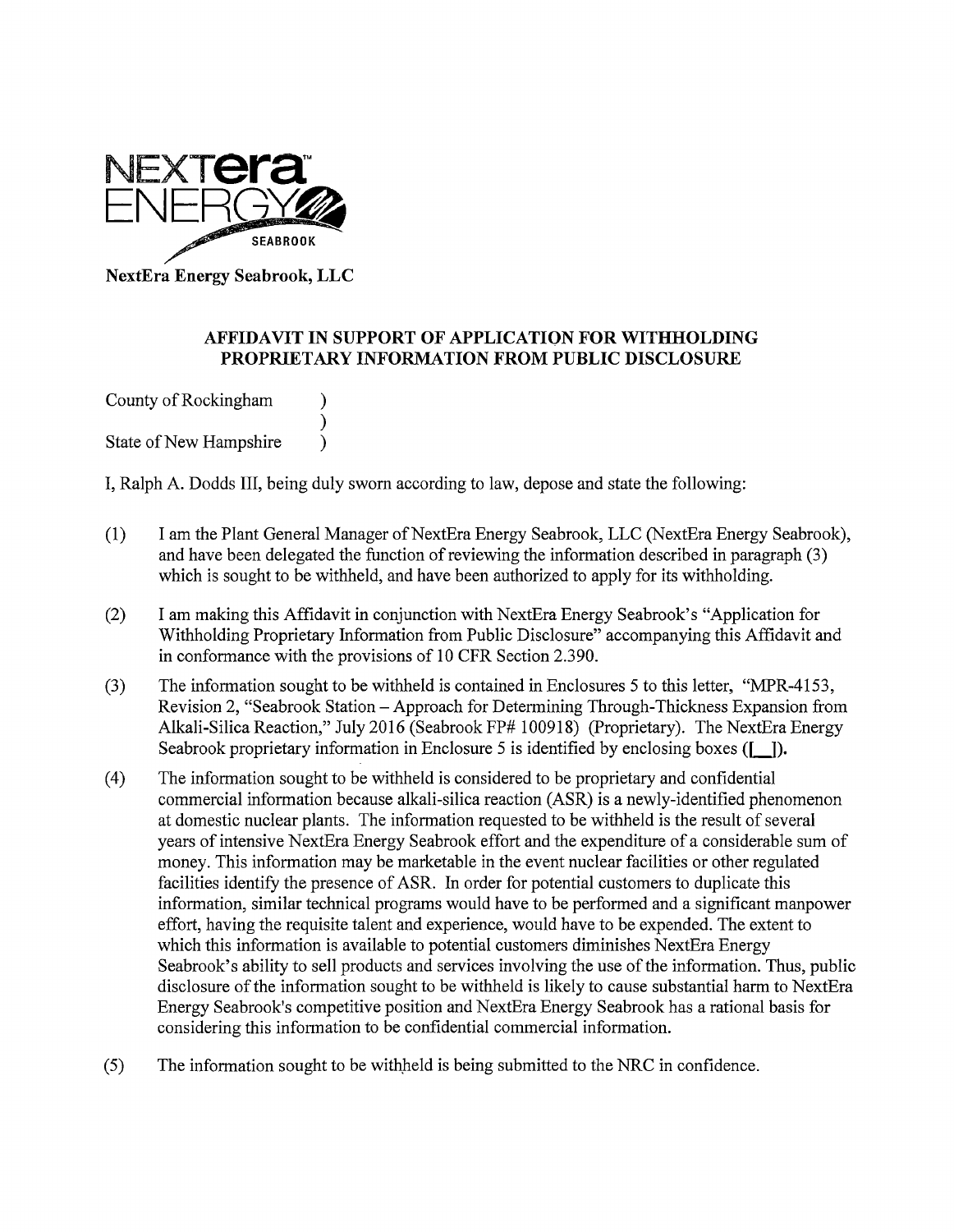

**NextEra Energy Seabrook, LLC** 

# **AFFIDAVIT IN SUPPORT OF APPLICATION FOR WITHHOLDING PROPRIETARY INFORMATION FROM PUBLIC DISCLOSURE**

County of Rockingham (1) ) State of New Hampshire  $\qquad$ )

I, Ralph A. Dodds III, being duly sworn according to law, depose and state the following:

- (1) I am the Plant General Manager of NextEra Energy Seabrook, LLC (NextEra Energy Seabrook), and have been delegated the function of reviewing the information described in paragraph (3) which is sought to be withheld, and have been authorized to apply for its withholding.
- (2) I am making this Affidavit in conjunction with NextEra Energy Seabrook's "Application for Withholding Proprietary Information from Public Disclosure" accompanying this Affidavit and in conformance with the provisions of 10 CFR Section 2.390.
- (3) The information sought to be withheld is contained in Enclosures 5 to this letter, "MPR-4153, Revision 2, "Seabrook Station - Approach for Determining Through-Thickness Expansion from Alkali-Silica Reaction," July 2016 (Seabrook FP# 100918) (Proprietary). The NextEra Energy Seabrook proprietary information in Enclosure 5 is identified by enclosing boxes **([** ]).
- ( 4) The information sought to be withheld is considered to be proprietary and confidential commercial information because alkali-silica reaction (ASR) is a newly-identified phenomenon at domestic nuclear plants. The information requested to be withheld is the result of several years of intensive NextEra Energy Seabrook effort and the expenditure of a considerable sum of money. This information may be marketable in the event nuclear facilities or other regulated facilities identify the presence of ASR. In order for potential customers to duplicate this information, similar technical programs would have to be performed and a significant manpower effort, having the requisite talent and experience, would have to be expended. The extent to which this information is available to potential customers diminishes NextEra Energy Seabrook's ability to sell products and services involving the use of the information. Thus, public disclosure of the information sought to be withheld is likely to cause substantial harm to NextEra Energy Seabrook's competitive position and NextEra Energy Seabrook has a rational basis for considering this information to be confidential commercial information.
- (5) The information sought to be withheld is being submitted to the NRC in confidence.